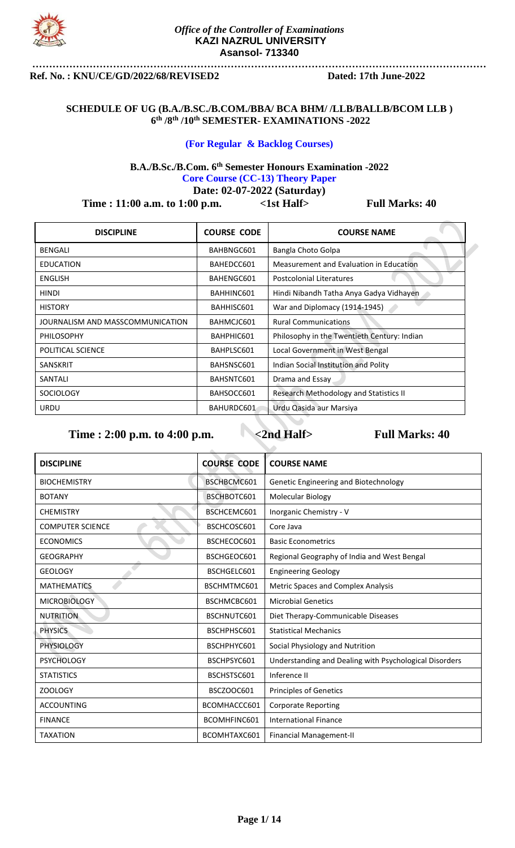

### **……………………………………………………………………………………………………………………… Ref. No. : KNU/CE/GD/2022/68/REVISED2 Dated: 17th June-2022**

### **SCHEDULE OF UG (B.A./B.SC./B.COM./BBA/ BCA BHM/ /LLB/BALLB/BCOM LLB ) 6 th /8th /10th SEMESTER- EXAMINATIONS -2022**

### **(For Regular & Backlog Courses)**

### **B.A./B.Sc./B.Com. 6th Semester Honours Examination -2022 Core Course (CC-13) Theory Paper**

**Date: 02-07-2022 (Saturday)**

**Time : 11:00 a.m. to 1:00 p.m.** <1st Half> Full Marks: 40

| <b>DISCIPLINE</b>                | <b>COURSE CODE</b> | <b>COURSE NAME</b>                          |
|----------------------------------|--------------------|---------------------------------------------|
| <b>BENGALI</b>                   | BAHBNGC601         | Bangla Choto Golpa                          |
| EDUCATION                        | BAHEDCC601         | Measurement and Evaluation in Education     |
| ENGLISH                          | BAHENGC601         | <b>Postcolonial Literatures</b>             |
| <b>HINDI</b>                     | BAHHINC601         | Hindi Nibandh Tatha Anya Gadya Vidhayen     |
| <b>HISTORY</b>                   | BAHHISC601         | War and Diplomacy (1914-1945)               |
| JOURNALISM AND MASSCOMMUNICATION | BAHMCJC601         | <b>Rural Communications</b>                 |
| <b>PHILOSOPHY</b>                | BAHPHIC601         | Philosophy in the Twentieth Century: Indian |
| POLITICAL SCIENCE                | BAHPLSC601         | Local Government in West Bengal             |
| <b>SANSKRIT</b>                  | BAHSNSC601         | Indian Social Institution and Polity        |
| SANTALI                          | BAHSNTC601         | Drama and Essay                             |
| <b>SOCIOLOGY</b>                 | BAHSOCC601         | Research Methodology and Statistics II      |
| <b>URDU</b>                      | BAHURDC601         | Urdu Qasida aur Marsiya                     |

| <b>DISCIPLINE</b>       | <b>COURSE CODE</b> | <b>COURSE NAME</b>                                     |
|-------------------------|--------------------|--------------------------------------------------------|
| <b>BIOCHEMISTRY</b>     | BSCHBCMC601        | Genetic Engineering and Biotechnology                  |
| <b>BOTANY</b>           | BSCHBOTC601        | Molecular Biology                                      |
| <b>CHEMISTRY</b>        | BSCHCEMC601        | Inorganic Chemistry - V                                |
| <b>COMPUTER SCIENCE</b> | BSCHCOSC601        | Core Java                                              |
| <b>ECONOMICS</b>        | BSCHECOC601        | <b>Basic Econometrics</b>                              |
| <b>GEOGRAPHY</b>        | BSCHGEOC601        | Regional Geography of India and West Bengal            |
| <b>GEOLOGY</b>          | BSCHGELC601        | <b>Engineering Geology</b>                             |
| <b>MATHEMATICS</b>      | BSCHMTMC601        | Metric Spaces and Complex Analysis                     |
| <b>MICROBIOLOGY</b>     | BSCHMCBC601        | <b>Microbial Genetics</b>                              |
| <b>NUTRITION</b>        | BSCHNUTC601        | Diet Therapy-Communicable Diseases                     |
| <b>PHYSICS</b>          | BSCHPHSC601        | <b>Statistical Mechanics</b>                           |
| <b>PHYSIOLOGY</b>       | BSCHPHYC601        | Social Physiology and Nutrition                        |
| <b>PSYCHOLOGY</b>       | BSCHPSYC601        | Understanding and Dealing with Psychological Disorders |
| <b>STATISTICS</b>       | BSCHSTSC601        | Inference II                                           |
| <b>ZOOLOGY</b>          | BSCZOOC601         | <b>Principles of Genetics</b>                          |
| <b>ACCOUNTING</b>       | BCOMHACCC601       | <b>Corporate Reporting</b>                             |
| <b>FINANCE</b>          | BCOMHFINC601       | <b>International Finance</b>                           |
| <b>TAXATION</b>         | BCOMHTAXC601       | <b>Financial Management-II</b>                         |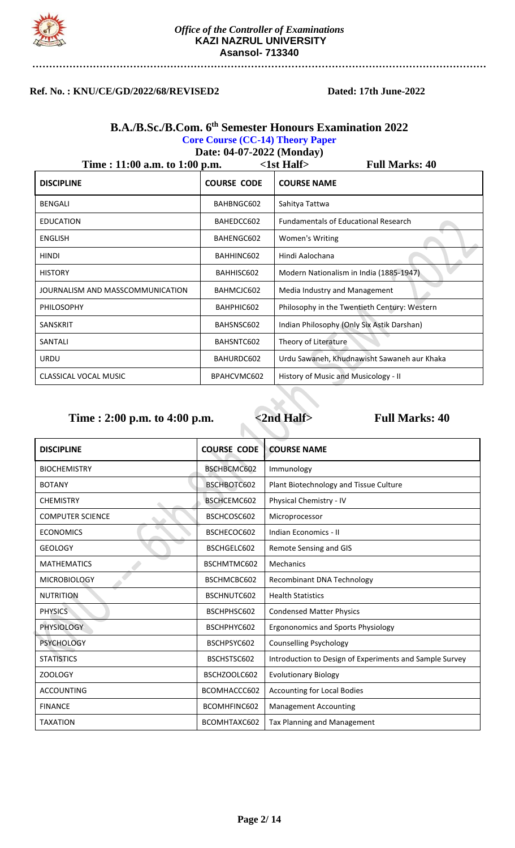

## **Ref. No. : KNU/CE/GD/2022/68/REVISED2 Dated: 17th June-2022**

### **B.A./B.Sc./B.Com. 6 th Semester Honours Examination 2022 Core Course (CC-14) Theory Paper Date: 04-07-2022 (Monday)**

| Time: 11:00 a.m. to 1:00 p.m.    |                    | $\langle$ 1st Half $\rangle$<br><b>Full Marks: 40</b> |
|----------------------------------|--------------------|-------------------------------------------------------|
| <b>DISCIPLINE</b>                | <b>COURSE CODE</b> | <b>COURSE NAME</b>                                    |
| <b>BENGALI</b>                   | BAHBNGC602         | Sahitya Tattwa                                        |
| <b>EDUCATION</b>                 | BAHEDCC602         | <b>Fundamentals of Educational Research</b>           |
| ENGLISH                          | BAHENGC602         | Women's Writing                                       |
| HINDI                            | BAHHINC602         | Hindi Aalochana                                       |
| <b>HISTORY</b>                   | BAHHISC602         | Modern Nationalism in India (1885-1947)               |
| JOURNALISM AND MASSCOMMUNICATION | BAHMCJC602         | Media Industry and Management                         |
| <b>PHILOSOPHY</b>                | BAHPHIC602         | Philosophy in the Twentieth Century: Western          |
| SANSKRIT                         | BAHSNSC602         | Indian Philosophy (Only Six Astik Darshan)            |
| SANTALI                          | BAHSNTC602         | Theory of Literature                                  |
| <b>URDU</b>                      | BAHURDC602         | Urdu Sawaneh, Khudnawisht Sawaneh aur Khaka           |
| <b>CLASSICAL VOCAL MUSIC</b>     | BPAHCVMC602        | History of Music and Musicology - II                  |

| <b>DISCIPLINE</b>       | <b>COURSE CODE</b> | <b>COURSE NAME</b>                                      |
|-------------------------|--------------------|---------------------------------------------------------|
| <b>BIOCHEMISTRY</b>     | BSCHBCMC602        | Immunology                                              |
| <b>BOTANY</b>           | BSCHBOTC602        | Plant Biotechnology and Tissue Culture                  |
| <b>CHEMISTRY</b>        | BSCHCEMC602        | Physical Chemistry - IV                                 |
| <b>COMPUTER SCIENCE</b> | BSCHCOSC602        | Microprocessor                                          |
| <b>ECONOMICS</b>        | BSCHECOC602        | Indian Economics - II                                   |
| <b>GEOLOGY</b>          | BSCHGELC602        | Remote Sensing and GIS                                  |
| <b>MATHEMATICS</b>      | BSCHMTMC602        | Mechanics                                               |
| <b>MICROBIOLOGY</b>     | BSCHMCBC602        | Recombinant DNA Technology                              |
| <b>NUTRITION</b>        | BSCHNUTC602        | <b>Health Statistics</b>                                |
| <b>PHYSICS</b>          | BSCHPHSC602        | <b>Condensed Matter Physics</b>                         |
| <b>PHYSIOLOGY</b>       | BSCHPHYC602        | <b>Ergononomics and Sports Physiology</b>               |
| <b>PSYCHOLOGY</b>       | BSCHPSYC602        | <b>Counselling Psychology</b>                           |
| <b>STATISTICS</b>       | BSCHSTSC602        | Introduction to Design of Experiments and Sample Survey |
| ZOOLOGY                 | BSCHZOOLC602       | <b>Evolutionary Biology</b>                             |
| <b>ACCOUNTING</b>       | BCOMHACCC602       | <b>Accounting for Local Bodies</b>                      |
| <b>FINANCE</b>          | BCOMHFINC602       | <b>Management Accounting</b>                            |
| <b>TAXATION</b>         | BCOMHTAXC602       | Tax Planning and Management                             |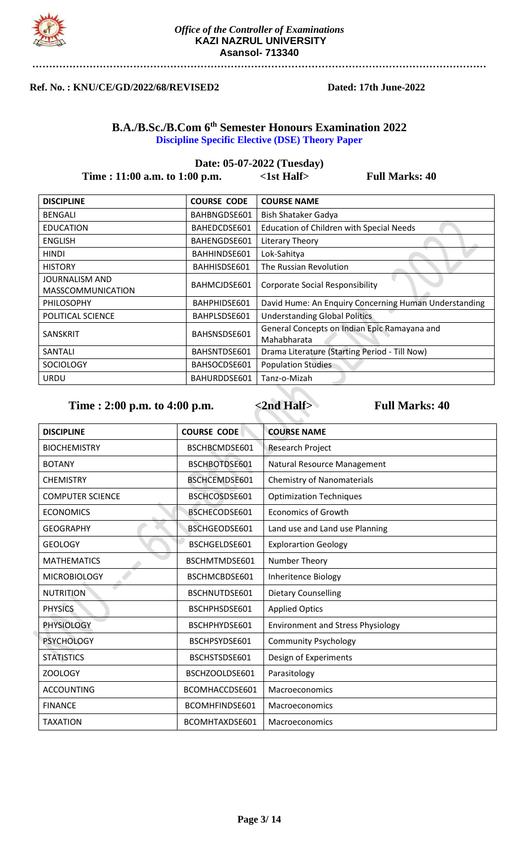

### **Ref. No. : KNU/CE/GD/2022/68/REVISED2 Dated: 17th June-2022**

## **B.A./B.Sc./B.Com 6 th Semester Honours Examination 2022 Discipline Specific Elective (DSE) Theory Paper**

# **Date: 05-07-2022 (Tuesday) Time : 11:00 a.m. to 1:00 p.m.** <1st Half> Full Marks: 40

| <b>DISCIPLINE</b>                                 | <b>COURSE CODE</b> | <b>COURSE NAME</b>                                          |
|---------------------------------------------------|--------------------|-------------------------------------------------------------|
| <b>BENGALI</b>                                    | BAHBNGDSE601       | <b>Bish Shataker Gadya</b>                                  |
| <b>EDUCATION</b>                                  | BAHEDCDSE601       | <b>Education of Children with Special Needs</b>             |
| <b>ENGLISH</b>                                    | BAHENGDSE601       | Literary Theory                                             |
| <b>HINDI</b>                                      | BAHHINDSE601       | Lok-Sahitya                                                 |
| <b>HISTORY</b>                                    | BAHHISDSE601       | The Russian Revolution                                      |
| <b>JOURNALISM AND</b><br><b>MASSCOMMUNICATION</b> | BAHMCJDSE601       | <b>Corporate Social Responsibility</b>                      |
| <b>PHILOSOPHY</b>                                 | BAHPHIDSE601       | David Hume: An Enquiry Concerning Human Understanding       |
| POLITICAL SCIENCE                                 | BAHPLSDSE601       | <b>Understanding Global Politics</b>                        |
| <b>SANSKRIT</b>                                   | BAHSNSDSE601       | General Concepts on Indian Epic Ramayana and<br>Mahabharata |
| SANTALI                                           | BAHSNTDSE601       | Drama Literature (Starting Period - Till Now)               |
| <b>SOCIOLOGY</b>                                  | BAHSOCDSE601       | <b>Population Studies</b>                                   |
| <b>URDU</b>                                       | BAHURDDSE601       | Tanz-o-Mizah                                                |

Time : 2:00 p.m. to 4:00 p.m.  $\leq 2nd$  Half> Full Marks: 40

e and

| <b>DISCIPLINE</b>       | <b>COURSE CODE</b> | <b>COURSE NAME</b>                       |
|-------------------------|--------------------|------------------------------------------|
| <b>BIOCHEMISTRY</b>     | BSCHBCMDSE601      | Research Project                         |
| <b>BOTANY</b>           | BSCHBOTDSE601      | Natural Resource Management              |
| <b>CHEMISTRY</b>        | BSCHCEMDSE601      | <b>Chemistry of Nanomaterials</b>        |
| <b>COMPUTER SCIENCE</b> | BSCHCOSDSE601      | <b>Optimization Techniques</b>           |
| <b>ECONOMICS</b>        | BSCHECODSE601      | <b>Economics of Growth</b>               |
| <b>GEOGRAPHY</b>        | BSCHGEODSE601      | Land use and Land use Planning           |
| <b>GEOLOGY</b>          | BSCHGELDSE601      | <b>Explorartion Geology</b>              |
| <b>MATHEMATICS</b>      | BSCHMTMDSE601      | Number Theory                            |
| <b>MICROBIOLOGY</b>     | BSCHMCBDSE601      | Inheritence Biology                      |
| <b>NUTRITION</b>        | BSCHNUTDSE601      | <b>Dietary Counselling</b>               |
| <b>PHYSICS</b>          | BSCHPHSDSE601      | <b>Applied Optics</b>                    |
| <b>PHYSIOLOGY</b>       | BSCHPHYDSE601      | <b>Environment and Stress Physiology</b> |
| <b>PSYCHOLOGY</b>       | BSCHPSYDSE601      | <b>Community Psychology</b>              |
| <b>STATISTICS</b>       | BSCHSTSDSE601      | Design of Experiments                    |
| ZOOLOGY                 | BSCHZOOLDSE601     | Parasitology                             |
| <b>ACCOUNTING</b>       | BCOMHACCDSE601     | Macroeconomics                           |
| <b>FINANCE</b>          | BCOMHFINDSE601     | Macroeconomics                           |
| <b>TAXATION</b>         | BCOMHTAXDSE601     | Macroeconomics                           |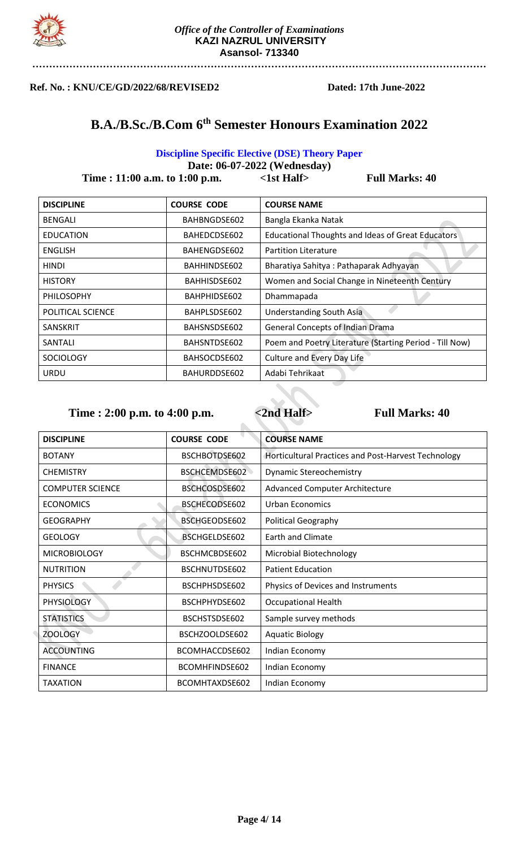

**Ref. No. : KNU/CE/GD/2022/68/REVISED2 Dated: 17th June-2022** 

# **B.A./B.Sc./B.Com 6 th Semester Honours Examination 2022**

### **Discipline Specific Elective (DSE) Theory Paper**

| Date: 06-07-2022 (Wednesday)       |                    |                                        |                                                          |
|------------------------------------|--------------------|----------------------------------------|----------------------------------------------------------|
| Time : $11:00$ a.m. to $1:00$ p.m. |                    | $\langle$ 1st Half $\rangle$           | <b>Full Marks: 40</b>                                    |
| <b>DISCIPLINE</b>                  | <b>COURSE CODE</b> | <b>COURSE NAME</b>                     |                                                          |
| <b>BENGALI</b>                     | BAHBNGDSE602       | Bangla Ekanka Natak                    |                                                          |
| <b>EDUCATION</b>                   | BAHEDCDSE602       |                                        | <b>Educational Thoughts and Ideas of Great Educators</b> |
| <b>ENGLISH</b>                     | BAHENGDSE602       | <b>Partition Literature</b>            |                                                          |
| <b>HINDI</b>                       | BAHHINDSE602       | Bharatiya Sahitya: Pathaparak Adhyayan |                                                          |
| <b>HISTORY</b>                     | BAHHISDSE602       |                                        | Women and Social Change in Nineteenth Century            |

| <b>PHILOSOPHY</b> | BAHPHIDSE602 | Dhammapada                                              |
|-------------------|--------------|---------------------------------------------------------|
| POLITICAL SCIENCE | BAHPLSDSE602 | Understanding South Asia                                |
| SANSKRIT          | BAHSNSDSE602 | <b>General Concepts of Indian Drama</b>                 |
| SANTALI           | BAHSNTDSE602 | Poem and Poetry Literature (Starting Period - Till Now) |
| <b>SOCIOLOGY</b>  | BAHSOCDSE602 | Culture and Every Day Life                              |
| <b>URDU</b>       | BAHURDDSE602 | Adabi Tehrikaat                                         |
|                   |              |                                                         |

 $\mathbf{r}$ 

| <b>DISCIPLINE</b>       | <b>COURSE CODE</b> | <b>COURSE NAME</b>                                  |
|-------------------------|--------------------|-----------------------------------------------------|
| <b>BOTANY</b>           | BSCHBOTDSE602      | Horticultural Practices and Post-Harvest Technology |
| <b>CHEMISTRY</b>        | BSCHCEMDSE602      | <b>Dynamic Stereochemistry</b>                      |
| <b>COMPUTER SCIENCE</b> | BSCHCOSDSE602      | <b>Advanced Computer Architecture</b>               |
| <b>ECONOMICS</b>        | BSCHECODSE602      | <b>Urban Economics</b>                              |
| <b>GEOGRAPHY</b>        | BSCHGEODSE602      | <b>Political Geography</b>                          |
| <b>GEOLOGY</b>          | BSCHGELDSE602      | <b>Earth and Climate</b>                            |
| <b>MICROBIOLOGY</b>     | BSCHMCBDSE602      | <b>Microbial Biotechnology</b>                      |
| <b>NUTRITION</b>        | BSCHNUTDSE602      | <b>Patient Education</b>                            |
| <b>PHYSICS</b>          | BSCHPHSDSE602      | Physics of Devices and Instruments                  |
| <b>PHYSIOLOGY</b>       | BSCHPHYDSE602      | <b>Occupational Health</b>                          |
| <b>STATISTICS</b>       | BSCHSTSDSE602      | Sample survey methods                               |
| <b>ZOOLOGY</b>          | BSCHZOOLDSE602     | <b>Aquatic Biology</b>                              |
| <b>ACCOUNTING</b>       | BCOMHACCDSE602     | Indian Economy                                      |
| <b>FINANCE</b>          | BCOMHFINDSE602     | Indian Economy                                      |
| <b>TAXATION</b>         | BCOMHTAXDSE602     | Indian Economy                                      |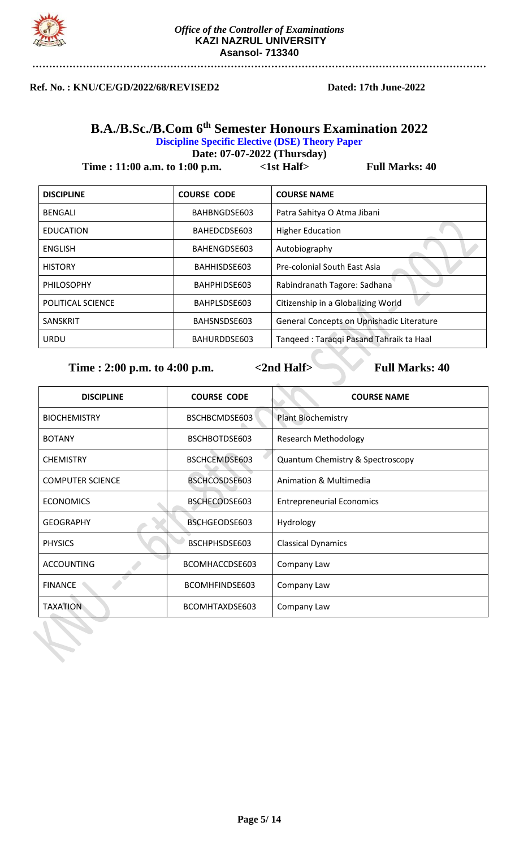

### **Ref. No. : KNU/CE/GD/2022/68/REVISED2 Dated: 17th June-2022**

# **B.A./B.Sc./B.Com 6 th Semester Honours Examination 2022 Discipline Specific Elective (DSE) Theory Paper**

**Date: 07-07-2022 (Thursday)**

**Time : 11:00 a.m. to 1:00 p.m.** <1st Half> Full Marks: 40

| <b>DISCIPLINE</b> | <b>COURSE CODE</b> | <b>COURSE NAME</b>                        |
|-------------------|--------------------|-------------------------------------------|
| <b>BENGALI</b>    | BAHBNGDSE603       | Patra Sahitya O Atma Jibani               |
| <b>EDUCATION</b>  | BAHEDCDSE603       | <b>Higher Education</b>                   |
| ENGLISH           | BAHENGDSE603       | Autobiography                             |
| <b>HISTORY</b>    | BAHHISDSE603       | Pre-colonial South East Asia              |
| <b>PHILOSOPHY</b> | BAHPHIDSE603       | Rabindranath Tagore: Sadhana              |
| POLITICAL SCIENCE | BAHPLSDSE603       | Citizenship in a Globalizing World        |
| <b>SANSKRIT</b>   | BAHSNSDSE603       | General Concepts on Upnishadic Literature |
| <b>URDU</b>       | BAHURDDSE603       | Tanqeed: Taraqqi Pasand Tahraik ta Haal   |

| <b>DISCIPLINE</b>       | <b>COURSE CODE</b> | <b>COURSE NAME</b>               |
|-------------------------|--------------------|----------------------------------|
| <b>BIOCHEMISTRY</b>     | BSCHBCMDSE603      | <b>Plant Biochemistry</b>        |
| <b>BOTANY</b>           | BSCHBOTDSE603      | <b>Research Methodology</b>      |
| <b>CHEMISTRY</b>        | BSCHCEMDSE603      | Quantum Chemistry & Spectroscopy |
| <b>COMPUTER SCIENCE</b> | BSCHCOSDSE603      | Animation & Multimedia           |
| <b>ECONOMICS</b>        | BSCHECODSE603      | <b>Entrepreneurial Economics</b> |
| <b>GEOGRAPHY</b>        | BSCHGEODSE603      | Hydrology                        |
| <b>PHYSICS</b>          | BSCHPHSDSE603      | <b>Classical Dynamics</b>        |
| <b>ACCOUNTING</b>       | BCOMHACCDSE603     | Company Law                      |
| <b>FINANCE</b>          | BCOMHFINDSE603     | Company Law                      |
| <b>TAXATION</b>         | BCOMHTAXDSE603     | Company Law                      |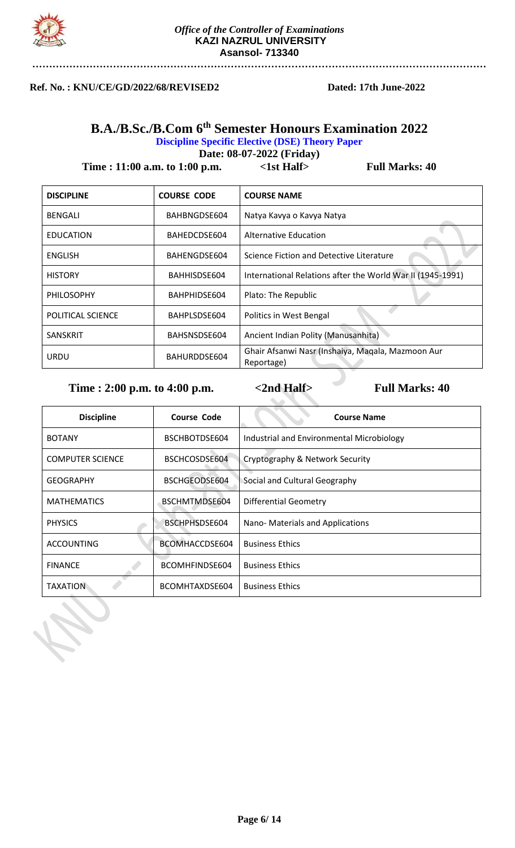

### **Ref. No. : KNU/CE/GD/2022/68/REVISED2 Dated: 17th June-2022**

# **B.A./B.Sc./B.Com 6 th Semester Honours Examination 2022 Discipline Specific Elective (DSE) Theory Paper**

**Date: 08-07-2022 (Friday)**

**Time : 11:00 a.m. to 1:00 p.m.** <1st Half> Full Marks: 40

| <b>DISCIPLINE</b>        | <b>COURSE CODE</b> | <b>COURSE NAME</b>                                              |
|--------------------------|--------------------|-----------------------------------------------------------------|
| <b>BENGALI</b>           | BAHBNGDSE604       | Natya Kavya o Kavya Natya                                       |
| <b>EDUCATION</b>         | BAHEDCDSE604       | Alternative Education                                           |
| <b>ENGLISH</b>           | BAHENGDSE604       | Science Fiction and Detective Literature                        |
| <b>HISTORY</b>           | BAHHISDSE604       | International Relations after the World War II (1945-1991)      |
| <b>PHILOSOPHY</b>        | BAHPHIDSE604       | Plato: The Republic                                             |
| <b>POLITICAL SCIENCE</b> | BAHPLSDSE604       | Politics in West Bengal                                         |
| <b>SANSKRIT</b>          | BAHSNSDSE604       | Ancient Indian Polity (Manusanhita)                             |
| URDU                     | BAHURDDSE604       | Ghair Afsanwi Nasr (Inshaiya, Magala, Mazmoon Aur<br>Reportage) |

| <b>Discipline</b>       | <b>Course Code</b> | <b>Course Name</b>                        |
|-------------------------|--------------------|-------------------------------------------|
| <b>BOTANY</b>           | BSCHBOTDSE604      | Industrial and Environmental Microbiology |
| <b>COMPUTER SCIENCE</b> | BSCHCOSDSE604      | Cryptography & Network Security           |
| <b>GEOGRAPHY</b>        | BSCHGEODSE604      | Social and Cultural Geography             |
| <b>MATHEMATICS</b>      | BSCHMTMDSE604      | <b>Differential Geometry</b>              |
| <b>PHYSICS</b>          | BSCHPHSDSE604      | Nano-Materials and Applications           |
| <b>ACCOUNTING</b>       | BCOMHACCDSE604     | <b>Business Ethics</b>                    |
| <b>FINANCE</b>          | BCOMHFINDSE604     | <b>Business Ethics</b>                    |
| <b>TAXATION</b>         | BCOMHTAXDSE604     | <b>Business Ethics</b>                    |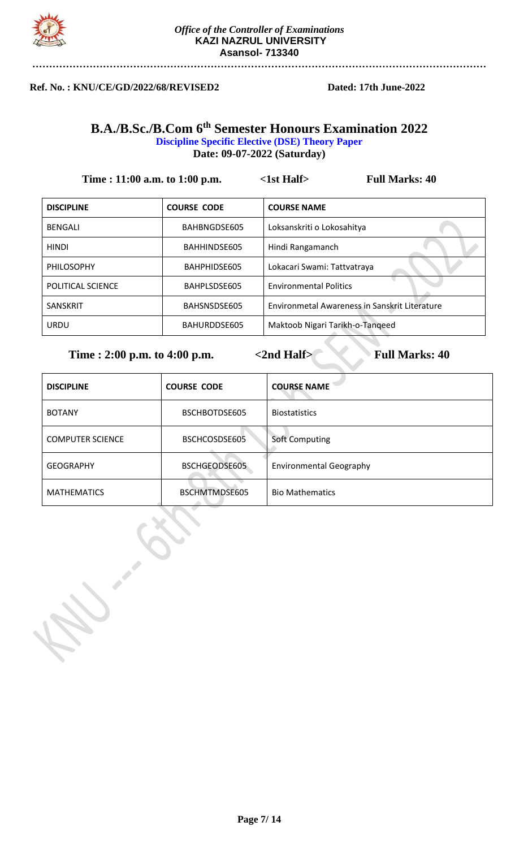

### **Ref. No. : KNU/CE/GD/2022/68/REVISED2 Dated: 17th June-2022**

# **B.A./B.Sc./B.Com 6 th Semester Honours Examination 2022 Discipline Specific Elective (DSE) Theory Paper Date: 09-07-2022 (Saturday)**

| Time : 11:00 a.m. to 1:00 p.m. |                    | $\langle$ 1st Half $\rangle$<br><b>Full Marks: 40</b> |
|--------------------------------|--------------------|-------------------------------------------------------|
| <b>DISCIPLINE</b>              | <b>COURSE CODE</b> | <b>COURSE NAME</b>                                    |
| <b>BENGALI</b>                 | BAHBNGDSE605       | Loksanskriti o Lokosahitya                            |
| <b>HINDI</b>                   | BAHHINDSE605       | Hindi Rangamanch                                      |
| <b>PHILOSOPHY</b>              | BAHPHIDSE605       | Lokacari Swami: Tattvatraya                           |
| POLITICAL SCIENCE              | BAHPLSDSE605       | <b>Environmental Politics</b>                         |
| <b>SANSKRIT</b>                | BAHSNSDSE605       | Environmetal Awareness in Sanskrit Literature         |
| <b>URDU</b>                    | BAHURDDSE605       | Maktoob Nigari Tarikh-o-Tangeed                       |

| <b>DISCIPLINE</b>       | <b>COURSE CODE</b> | <b>COURSE NAME</b>             |
|-------------------------|--------------------|--------------------------------|
| <b>BOTANY</b>           | BSCHBOTDSE605      | <b>Biostatistics</b>           |
| <b>COMPUTER SCIENCE</b> | BSCHCOSDSE605      | Soft Computing                 |
| <b>GEOGRAPHY</b>        | BSCHGEODSE605      | <b>Environmental Geography</b> |
| <b>MATHEMATICS</b>      | BSCHMTMDSE605      | <b>Bio Mathematics</b>         |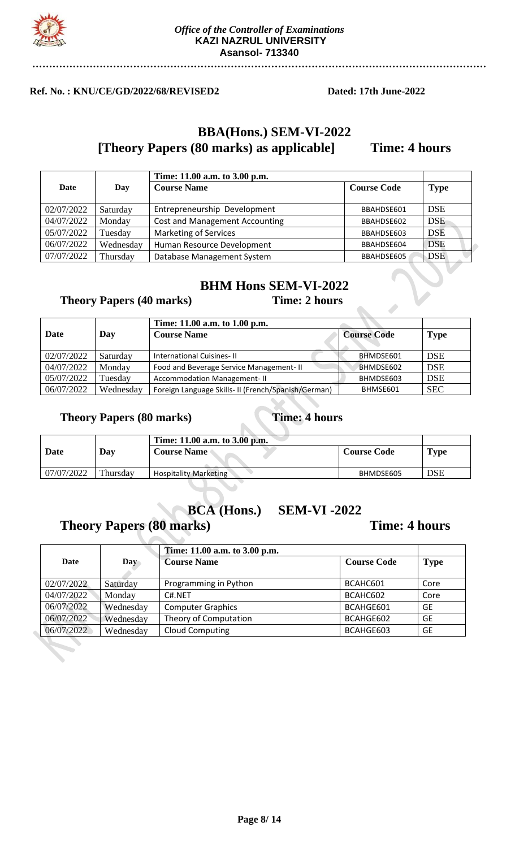

## **Ref. No. : KNU/CE/GD/2022/68/REVISED2 Dated: 17th June-2022**

# **BBA(Hons.) SEM-VI-2022 [Theory Papers (80 marks) as applicable] Time: 4 hours**

|            |           | Time: 11.00 a.m. to 3.00 p.m.         |                    |             |
|------------|-----------|---------------------------------------|--------------------|-------------|
| Date       | Day       | <b>Course Name</b>                    | <b>Course Code</b> | <b>Type</b> |
| 02/07/2022 | Saturday  | Entrepreneurship Development          | BBAHDSE601         | <b>DSE</b>  |
| 04/07/2022 | Monday    | <b>Cost and Management Accounting</b> | BBAHDSE602         | <b>DSE</b>  |
| 05/07/2022 | Tuesday   | <b>Marketing of Services</b>          | BBAHDSE603         | <b>DSE</b>  |
| 06/07/2022 | Wednesday | Human Resource Development            | BBAHDSE604         | <b>DSE</b>  |
| 07/07/2022 | Thursday  | Database Management System            | BBAHDSE605         | <b>DSE</b>  |

# **BHM Hons SEM-VI-2022**

## **Theory Papers (40 marks) Time: 2 hours**

**Time: 11.00 a.m. to 1.00 p.m.**<br>Course Name **Course Code Type** 

| Date       | Day       | <b>Course Name</b>                                  | <b>Course Code</b> | <b>Type</b> |
|------------|-----------|-----------------------------------------------------|--------------------|-------------|
| 02/07/2022 | Saturday  | International Cuisines-II                           | BHMDSE601          | <b>DSE</b>  |
| 04/07/2022 | Monday    | Food and Beverage Service Management- II            | BHMDSE602          | <b>DSE</b>  |
| 05/07/2022 | Tuesday   | <b>Accommodation Management-II</b>                  | BHMDSE603          | <b>DSE</b>  |
| 06/07/2022 | Wednesday | Foreign Language Skills- II (French/Spanish/German) | BHMSE601           | <b>SEC</b>  |

# **Theory Papers (80 marks) Time: 4 hours**

|            |          | Time: 11.00 a.m. to 3.00 p.m. |                    |            |
|------------|----------|-------------------------------|--------------------|------------|
| Date       | Day      | <b>Course Name</b>            | <b>Course Code</b> | Type       |
| 07/07/2022 | Thursday | <b>Hospitality Marketing</b>  | BHMDSE605          | <b>DSE</b> |

# **BCA (Hons.) SEM-VI -2022**

# **Theory Papers (80 marks) Time: 4 hours**

|            |            | Time: 11.00 a.m. to 3.00 p.m. |                    |             |
|------------|------------|-------------------------------|--------------------|-------------|
| Date       | <b>Day</b> | <b>Course Name</b>            | <b>Course Code</b> | <b>Type</b> |
| 02/07/2022 | Saturday   | Programming in Python         | BCAHC601           | Core        |
| 04/07/2022 | Monday     | C#.NET                        | BCAHC602           | Core        |
| 06/07/2022 | Wednesday  | <b>Computer Graphics</b>      | BCAHGE601          | <b>GE</b>   |
| 06/07/2022 | Wednesday  | Theory of Computation         | BCAHGE602          | GE          |
| 06/07/2022 | Wednesday  | <b>Cloud Computing</b>        | BCAHGE603          | <b>GE</b>   |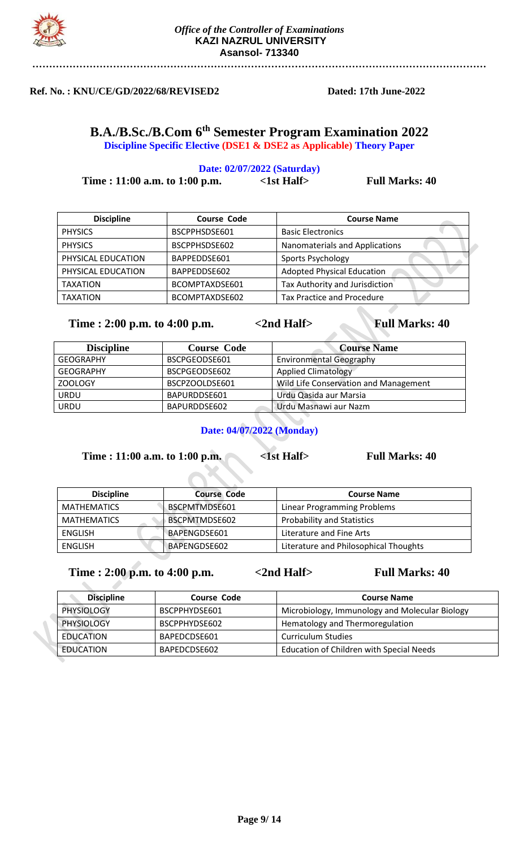

## **Ref. No. : KNU/CE/GD/2022/68/REVISED2 Dated: 17th June-2022**

**B.A./B.Sc./B.Com 6 th Semester Program Examination 2022 Discipline Specific Elective (DSE1 & DSE2 as Applicable) Theory Paper**

# **Date: 02/07/2022 (Saturday) Time : 11:00 a.m. to 1:00 p.m.** <1st Half> Full Marks: 40

| <b>Discipline</b>  | <b>Course Code</b> | <b>Course Name</b>                |
|--------------------|--------------------|-----------------------------------|
| <b>PHYSICS</b>     | BSCPPHSDSE601      | <b>Basic Electronics</b>          |
| <b>PHYSICS</b>     | BSCPPHSDSE602      | Nanomaterials and Applications    |
| PHYSICAL EDUCATION | BAPPEDDSE601       | Sports Psychology                 |
| PHYSICAL EDUCATION | BAPPEDDSE602       | <b>Adopted Physical Education</b> |
| <b>TAXATION</b>    | BCOMPTAXDSE601     | Tax Authority and Jurisdiction    |
| <b>TAXATION</b>    | BCOMPTAXDSE602     | <b>Tax Practice and Procedure</b> |

### **Time : 2:00 p.m. to 4:00 p.m. <br>**  $\leq$  **2nd Half> Full Marks: 40**

**Discipline Course Code Course Name** GEOGRAPHY | BSCPGEODSE601 | Environmental Geography GEOGRAPHY BSCPGEODSE602 | Applied Climatology ZOOLOGY BSCPZOOLDSE601 | Wild Life Conservation and Management URDU BAPURDDSE601 Urdu Qasida aur Marsia URDU BAPURDDSE602 Urdu Masnawi aur Nazm

# **Date: 04/07/2022 (Monday)**

**Time : 11:00 a.m. to 1:00 p.m. <br>
<1st Half> Full Marks: 40** 

| <b>Discipline</b>  | <b>Course Code</b>   | <b>Course Name</b>                    |
|--------------------|----------------------|---------------------------------------|
| <b>MATHEMATICS</b> | BSCPMTMDSE601        | Linear Programming Problems           |
| <b>MATHEMATICS</b> | <b>BSCPMTMDSE602</b> | <b>Probability and Statistics</b>     |
| <b>ENGLISH</b>     | BAPENGDSE601         | Literature and Fine Arts              |
| ENGLISH            | BAPENGDSE602         | Literature and Philosophical Thoughts |

| <b>Discipline</b> | <b>Course Code</b> | <b>Course Name</b>                              |
|-------------------|--------------------|-------------------------------------------------|
| <b>PHYSIOLOGY</b> | BSCPPHYDSE601      | Microbiology, Immunology and Molecular Biology  |
| PHYSIOLOGY        | BSCPPHYDSE602      | Hematology and Thermoregulation                 |
| EDUCATION         | BAPEDCDSE601       | <b>Curriculum Studies</b>                       |
| EDUCATION         | BAPEDCDSE602       | <b>Education of Children with Special Needs</b> |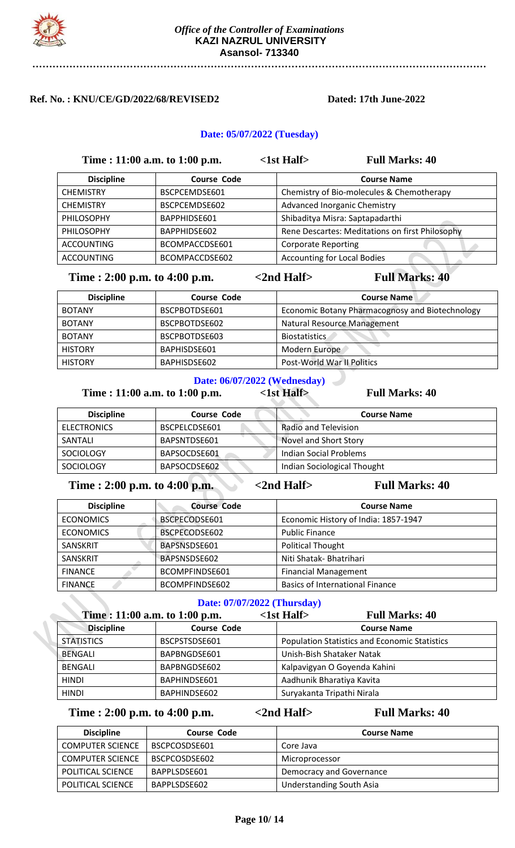

### **Ref. No. : KNU/CE/GD/2022/68/REVISED2 Dated: 17th June-2022**

### **Date: 05/07/2022 (Tuesday)**

|                   | Time : 11:00 a.m. to 1:00 p.m. | $\langle$ 1st Half $\rangle$ | <b>Full Marks: 40</b>                           |
|-------------------|--------------------------------|------------------------------|-------------------------------------------------|
| <b>Discipline</b> | <b>Course Code</b>             |                              | <b>Course Name</b>                              |
| <b>CHEMISTRY</b>  | BSCPCEMDSE601                  |                              | Chemistry of Bio-molecules & Chemotherapy       |
| <b>CHEMISTRY</b>  | BSCPCEMDSE602                  |                              | <b>Advanced Inorganic Chemistry</b>             |
| <b>PHILOSOPHY</b> | BAPPHIDSE601                   |                              | Shibaditya Misra: Saptapadarthi                 |
| PHILOSOPHY        | BAPPHIDSE602                   |                              | Rene Descartes: Meditations on first Philosophy |
| <b>ACCOUNTING</b> | BCOMPACCDSE601                 | <b>Corporate Reporting</b>   |                                                 |
| <b>ACCOUNTING</b> | BCOMPACCDSE602                 |                              | <b>Accounting for Local Bodies</b>              |

# **Time : 2:00 p.m. to 4:00 p.m.**  $\leq$  2nd Half> Full Marks: 40

| <b>Discipline</b> | <b>Course Code</b> | <b>Course Name</b>                              |
|-------------------|--------------------|-------------------------------------------------|
| <b>BOTANY</b>     | BSCPBOTDSE601      | Economic Botany Pharmacognosy and Biotechnology |
| <b>BOTANY</b>     | BSCPBOTDSE602      | Natural Resource Management                     |
| <b>BOTANY</b>     | BSCPBOTDSE603      | <b>Biostatistics</b>                            |
| <b>HISTORY</b>    | BAPHISDSE601       | Modern Europe                                   |
| <b>HISTORY</b>    | BAPHISDSE602       | Post-World War II Politics                      |

### **Date: 06/07/2022 (Wednesday)**

**Time : 11:00 a.m. to 1:00 p.m.** <1st Half> Full Marks: 40

| <b>Discipline</b>  | <b>Course Code</b> | <b>Course Name</b>          |
|--------------------|--------------------|-----------------------------|
| <b>ELECTRONICS</b> | BSCPELCDSE601      | Radio and Television        |
| SANTALI            | BAPSNTDSE601       | Novel and Short Story       |
| <b>SOCIOLOGY</b>   | BAPSOCDSE601       | Indian Social Problems      |
| <b>SOCIOLOGY</b>   | BAPSOCDSE602       | Indian Sociological Thought |

**Time : 2:00 p.m. to 4:00 p.m. <br> 4:00 c.m. <br> 4:00 km**  $\leq$  **2nd Half> Full Marks: 40** 

| <b>Discipline</b> | <b>Course Code</b> | <b>Course Name</b>                     |
|-------------------|--------------------|----------------------------------------|
| <b>ECONOMICS</b>  | BSCPECODSE601      | Economic History of India: 1857-1947   |
| <b>ECONOMICS</b>  | BSCPECODSE602      | <b>Public Finance</b>                  |
| SANSKRIT          | BAPSNSDSE601       | <b>Political Thought</b>               |
| SANSKRIT          | BAPSNSDSE602       | Niti Shatak- Bhatrihari                |
| <b>FINANCE</b>    | BCOMPFINDSE601     | <b>Financial Management</b>            |
| <b>FINANCE</b>    | BCOMPFINDSE602     | <b>Basics of International Finance</b> |

### **Date: 07/07/2022 (Thursday)**

| Time: 11:00 a.m. to 1:00 p.m. |                    | <b>Full Marks: 40</b><br>$\langle$ 1st Half $\rangle$ |  |
|-------------------------------|--------------------|-------------------------------------------------------|--|
| <b>Discipline</b>             | <b>Course Code</b> | <b>Course Name</b>                                    |  |
| <b>STATISTICS</b>             | BSCPSTSDSE601      | <b>Population Statistics and Economic Statistics</b>  |  |
| <b>BENGALI</b>                | BAPBNGDSE601       | Unish-Bish Shataker Natak                             |  |
| <b>BENGALI</b>                | BAPBNGDSE602       | Kalpavigyan O Goyenda Kahini                          |  |
| <b>HINDI</b>                  | BAPHINDSE601       | Aadhunik Bharatiya Kavita                             |  |
| <b>HINDI</b>                  | BAPHINDSE602       | Suryakanta Tripathi Nirala                            |  |

| <b>Discipline</b>        | <b>Course Code</b> | <b>Course Name</b>              |
|--------------------------|--------------------|---------------------------------|
| <b>COMPUTER SCIENCE</b>  | BSCPCOSDSE601      | Core Java                       |
| <b>COMPUTER SCIENCE</b>  | BSCPCOSDSE602      | Microprocessor                  |
| POLITICAL SCIENCE        | BAPPLSDSE601       | Democracy and Governance        |
| <b>POLITICAL SCIENCE</b> | BAPPLSDSE602       | <b>Understanding South Asia</b> |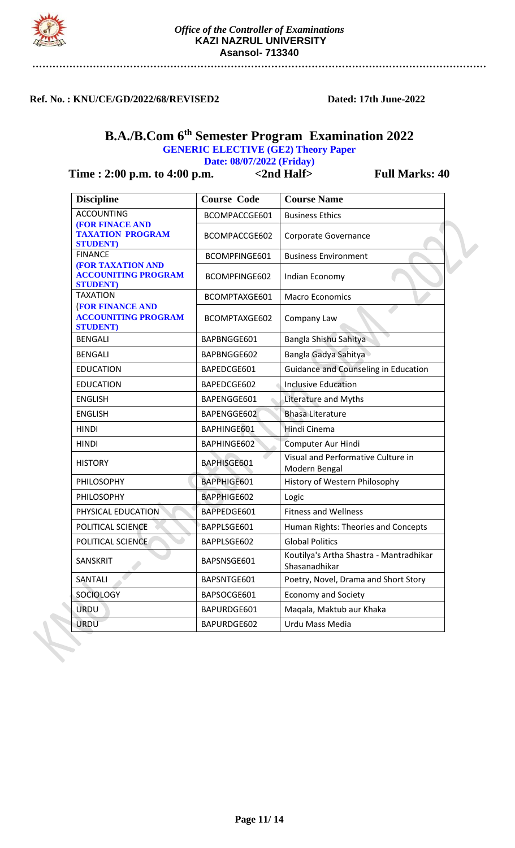

### **Ref. No. : KNU/CE/GD/2022/68/REVISED2 Dated: 17th June-2022**

# **B.A./B.Com 6 th Semester Program Examination 2022**

**GENERIC ELECTIVE (GE2) Theory Paper**

**Date: 08/07/2022 (Friday)**

| <b>Discipline</b>                                                          | <b>Course Code</b> | <b>Course Name</b>                                       |
|----------------------------------------------------------------------------|--------------------|----------------------------------------------------------|
| <b>ACCOUNTING</b>                                                          | BCOMPACCGE601      | <b>Business Ethics</b>                                   |
| <b>(FOR FINACE AND</b><br><b>TAXATION PROGRAM</b><br><b>STUDENT</b> )      | BCOMPACCGE602      | Corporate Governance                                     |
| <b>FINANCE</b>                                                             | BCOMPFINGE601      | <b>Business Environment</b>                              |
| <b>(FOR TAXATION AND</b><br><b>ACCOUNITING PROGRAM</b><br><b>STUDENT</b> ) | BCOMPFINGE602      | Indian Economy                                           |
| <b>TAXATION</b>                                                            | BCOMPTAXGE601      | <b>Macro Economics</b>                                   |
| <b>(FOR FINANCE AND</b><br><b>ACCOUNITING PROGRAM</b><br><b>STUDENT</b> )  | BCOMPTAXGE602      | Company Law                                              |
| <b>BENGALI</b>                                                             | BAPBNGGE601        | Bangla Shishu Sahitya                                    |
| <b>BENGALI</b>                                                             | BAPBNGGE602        | Bangla Gadya Sahitya                                     |
| <b>EDUCATION</b>                                                           | BAPEDCGE601        | <b>Guidance and Counseling in Education</b>              |
| <b>EDUCATION</b>                                                           | BAPEDCGE602        | <b>Inclusive Education</b>                               |
| <b>ENGLISH</b>                                                             | BAPENGGE601        | Literature and Myths                                     |
| <b>ENGLISH</b>                                                             | BAPENGGE602        | <b>Bhasa Literature</b>                                  |
| <b>HINDI</b>                                                               | BAPHINGE601        | Hindi Cinema                                             |
| <b>HINDI</b>                                                               | BAPHINGE602        | Computer Aur Hindi                                       |
| <b>HISTORY</b>                                                             | BAPHISGE601        | Visual and Performative Culture in<br>Modern Bengal      |
| PHILOSOPHY                                                                 | BAPPHIGE601        | History of Western Philosophy                            |
| PHILOSOPHY                                                                 | BAPPHIGE602        | Logic                                                    |
| PHYSICAL EDUCATION                                                         | BAPPEDGE601        | <b>Fitness and Wellness</b>                              |
| POLITICAL SCIENCE                                                          | BAPPLSGE601        | Human Rights: Theories and Concepts                      |
| POLITICAL SCIENCE                                                          | BAPPLSGE602        | <b>Global Politics</b>                                   |
| SANSKRIT                                                                   | BAPSNSGE601        | Koutilya's Artha Shastra - Mantradhikar<br>Shasanadhikar |
| SANTALI                                                                    | BAPSNTGE601        | Poetry, Novel, Drama and Short Story                     |
| <b>SOCIOLOGY</b>                                                           | BAPSOCGE601        | <b>Economy and Society</b>                               |
| <b>URDU</b>                                                                | BAPURDGE601        | Maqala, Maktub aur Khaka                                 |
| <b>URDU</b>                                                                | BAPURDGE602        | Urdu Mass Media                                          |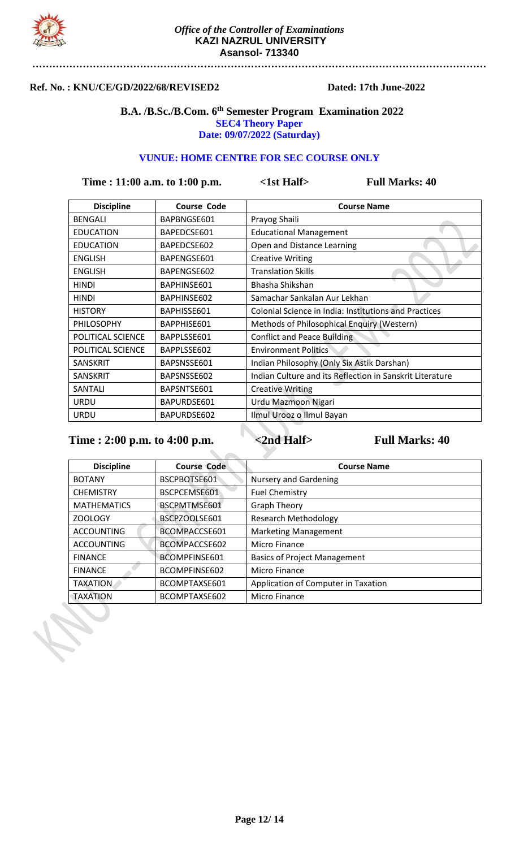

### **Ref. No. : KNU/CE/GD/2022/68/REVISED2 Dated: 17th June-2022**

### **B.A. /B.Sc./B.Com. 6 th Semester Program Examination 2022 SEC4 Theory Paper Date: 09/07/2022 (Saturday)**

### **VUNUE: HOME CENTRE FOR SEC COURSE ONLY**

**Time : 11:00 a.m. to 1:00 p.m.** <1st Half> Full Marks: 40

| <b>Discipline</b> | <b>Course Code</b> | <b>Course Name</b>                                           |
|-------------------|--------------------|--------------------------------------------------------------|
| <b>BENGALI</b>    | BAPBNGSE601        | Prayog Shaili                                                |
| <b>EDUCATION</b>  | BAPEDCSE601        | <b>Educational Management</b>                                |
| <b>EDUCATION</b>  | BAPEDCSE602        | Open and Distance Learning                                   |
| <b>ENGLISH</b>    | BAPENGSE601        | <b>Creative Writing</b>                                      |
| <b>ENGLISH</b>    | BAPENGSE602        | <b>Translation Skills</b>                                    |
| <b>HINDI</b>      | BAPHINSE601        | Bhasha Shikshan                                              |
| <b>HINDI</b>      | BAPHINSE602        | Samachar Sankalan Aur Lekhan                                 |
| <b>HISTORY</b>    | BAPHISSE601        | <b>Colonial Science in India: Institutions and Practices</b> |
| <b>PHILOSOPHY</b> | BAPPHISE601        | Methods of Philosophical Enquiry (Western)                   |
| POLITICAL SCIENCE | BAPPLSSE601        | <b>Conflict and Peace Building</b>                           |
| POLITICAL SCIENCE | BAPPLSSE602        | <b>Environment Politics</b>                                  |
| <b>SANSKRIT</b>   | BAPSNSSE601        | Indian Philosophy (Only Six Astik Darshan)                   |
| <b>SANSKRIT</b>   | BAPSNSSE602        | Indian Culture and its Reflection in Sanskrit Literature     |
| SANTALI           | BAPSNTSE601        | <b>Creative Writing</b>                                      |
| <b>URDU</b>       | BAPURDSE601        | Urdu Mazmoon Nigari                                          |
| <b>URDU</b>       | BAPURDSE602        | Ilmul Urooz o Ilmul Bayan                                    |

| <b>Discipline</b>  | <b>Course Code</b> | <b>Course Name</b>                  |
|--------------------|--------------------|-------------------------------------|
| <b>BOTANY</b>      | BSCPBOTSE601       | <b>Nursery and Gardening</b>        |
| <b>CHEMISTRY</b>   | BSCPCEMSE601       | <b>Fuel Chemistry</b>               |
| <b>MATHEMATICS</b> | BSCPMTMSE601       | <b>Graph Theory</b>                 |
| ZOOLOGY            | BSCPZOOLSE601      | <b>Research Methodology</b>         |
| <b>ACCOUNTING</b>  | BCOMPACCSE601      | <b>Marketing Management</b>         |
| <b>ACCOUNTING</b>  | BCOMPACCSE602      | Micro Finance                       |
| <b>FINANCE</b>     | BCOMPFINSE601      | <b>Basics of Project Management</b> |
| <b>FINANCE</b>     | BCOMPFINSE602      | Micro Finance                       |
| <b>TAXATION</b>    | BCOMPTAXSE601      | Application of Computer in Taxation |
| <b>TAXATION</b>    | BCOMPTAXSE602      | Micro Finance                       |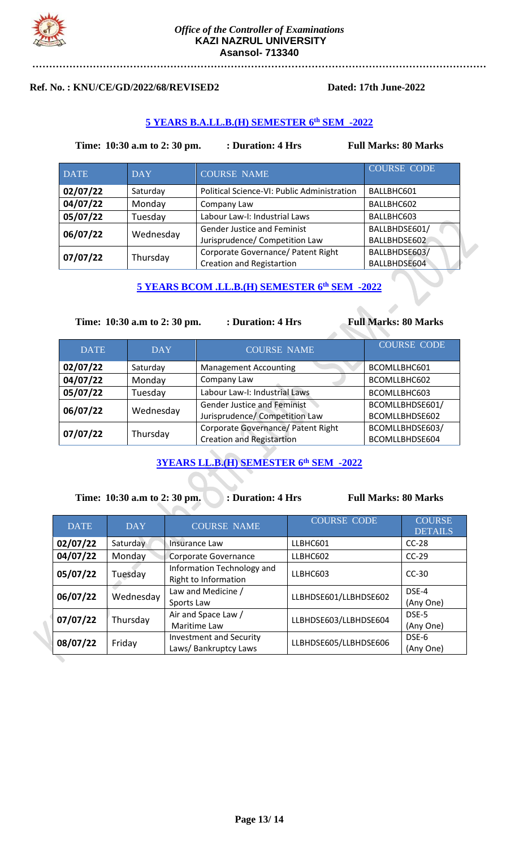

### **Ref. No. : KNU/CE/GD/2022/68/REVISED2 Dated: 17th June-2022**

## **5 YEARS B.A.LL.B.(H) SEMESTER 6 th SEM -2022**

### **Time:** 10:30 a.m to 2: 30 pm. : Duration: 4 Hrs Full Marks: 80 Marks

| <b>DATE</b> | <b>DAY</b> | <b>COURSE NAME</b>                          | <b>COURSE CODE</b> |
|-------------|------------|---------------------------------------------|--------------------|
| 02/07/22    | Saturday   | Political Science-VI: Public Administration | BALLBHC601         |
| 04/07/22    | Monday     | Company Law                                 | BALLBHC602         |
| 05/07/22    | Tuesday    | Labour Law-I: Industrial Laws               | BALLBHC603         |
| 06/07/22    | Wednesday  | <b>Gender Justice and Feminist</b>          | BALLBHDSE601/      |
|             |            | Jurisprudence/ Competition Law              | BALLBHDSE602       |
| 07/07/22    | Thursday   | Corporate Governance/ Patent Right          | BALLBHDSE603/      |
|             |            | <b>Creation and Registartion</b>            | BALLBHDSE604       |

## **5 YEARS BCOM .LL.B.(H) SEMESTER 6 th SEM -2022**

### **Time: 10:30 a.m to 2: 30 pm. : Duration: 4 Hrs Full Marks: 80 Marks**

| <b>DATE</b> | <b>DAY</b> | <b>COURSE NAME</b>                                                     | <b>COURSE CODE</b>                |
|-------------|------------|------------------------------------------------------------------------|-----------------------------------|
| 02/07/22    | Saturday   | <b>Management Accounting</b>                                           | BCOMLLBHC601                      |
| 04/07/22    | Monday     | Company Law                                                            | BCOMLLBHC602                      |
| 05/07/22    | Tuesday    | Labour Law-I: Industrial Laws                                          | BCOMLLBHC603                      |
| 06/07/22    | Wednesday  | <b>Gender Justice and Feminist</b><br>Jurisprudence/ Competition Law   | BCOMLLBHDSE601/<br>BCOMLLBHDSE602 |
| 07/07/22    | Thursday   | Corporate Governance/ Patent Right<br><b>Creation and Registartion</b> | BCOMLLBHDSE603/<br>BCOMLLBHDSE604 |

# **3YEARS LL.B.(H) SEMESTER 6 th SEM -2022**

**Time:** 10:30 a.m to 2:30 pm. : Duration: 4 Hrs Full Marks: 80 Marks

 $\mathcal{L}$ 

| <b>DATE</b> | <b>DAY</b> | <b>COURSE NAME</b>                                      | <b>COURSE CODE</b>    | <b>COURSE</b><br><b>DETAILS</b> |
|-------------|------------|---------------------------------------------------------|-----------------------|---------------------------------|
| 02/07/22    | Saturday   | Insurance Law                                           | LLBHC601              | $CC-28$                         |
| 04/07/22    | Monday     | Corporate Governance                                    | LLBHC602              | $CC-29$                         |
| 05/07/22    | Tuesday    | Information Technology and<br>Right to Information      | LLBHC603              | $CC-30$                         |
| 06/07/22    | Wednesday  | Law and Medicine /<br>Sports Law                        | LLBHDSE601/LLBHDSE602 | DSE-4<br>(Any One)              |
| 07/07/22    | Thursday   | Air and Space Law /<br>Maritime Law                     | LLBHDSE603/LLBHDSE604 | DSE-5<br>(Any One)              |
| 08/07/22    | Friday     | <b>Investment and Security</b><br>Laws/ Bankruptcy Laws | LLBHDSE605/LLBHDSE606 | DSE-6<br>(Any One)              |